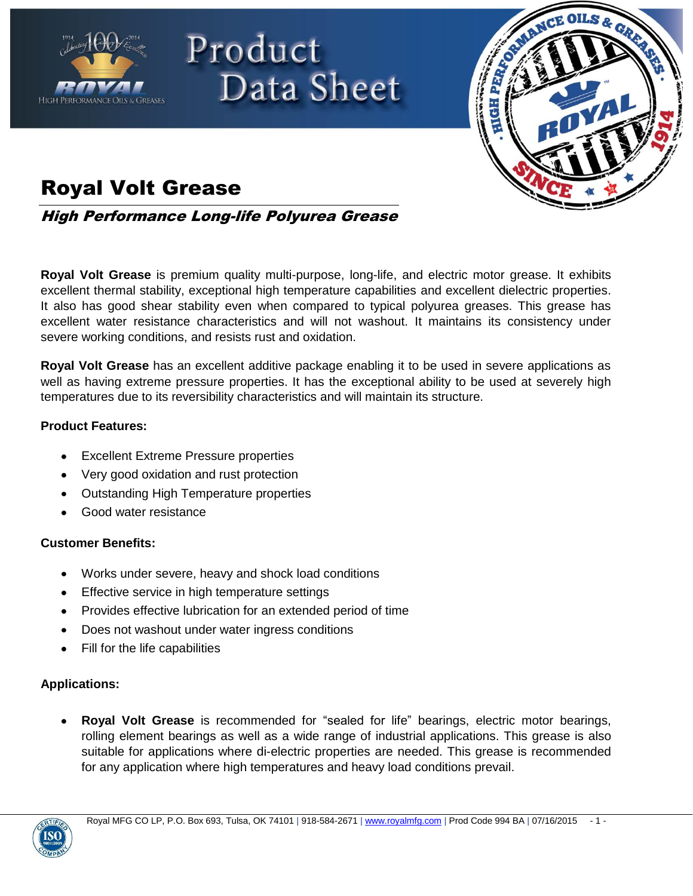



## Royal Volt Grease

### High Performance Long-life Polyurea Grease

Product

**Royal Volt Grease** is premium quality multi-purpose, long-life, and electric motor grease. It exhibits excellent thermal stability, exceptional high temperature capabilities and excellent dielectric properties. It also has good shear stability even when compared to typical polyurea greases. This grease has excellent water resistance characteristics and will not washout. It maintains its consistency under severe working conditions, and resists rust and oxidation.

Data Sheet

**Royal Volt Grease** has an excellent additive package enabling it to be used in severe applications as well as having extreme pressure properties. It has the exceptional ability to be used at severely high temperatures due to its reversibility characteristics and will maintain its structure.

#### **Product Features:**

- Excellent Extreme Pressure properties
- Very good oxidation and rust protection
- Outstanding High Temperature properties
- Good water resistance

#### **Customer Benefits:**

- Works under severe, heavy and shock load conditions
- Effective service in high temperature settings
- Provides effective lubrication for an extended period of time
- Does not washout under water ingress conditions
- Fill for the life capabilities

#### **Applications:**

**Royal Volt Grease** is recommended for "sealed for life" bearings, electric motor bearings, rolling element bearings as well as a wide range of industrial applications. This grease is also suitable for applications where di-electric properties are needed. This grease is recommended for any application where high temperatures and heavy load conditions prevail.